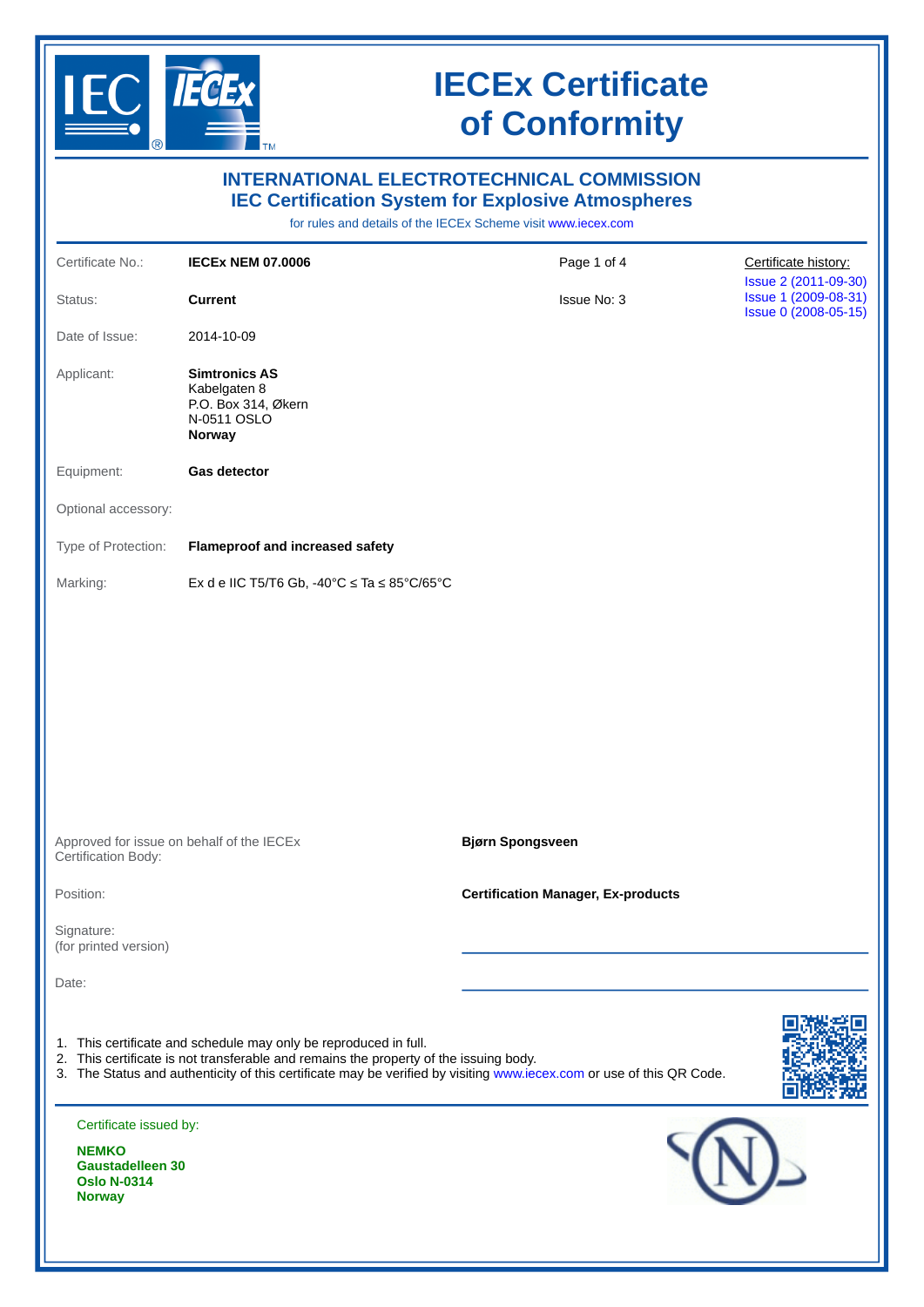

|                                                                                                          |                                                                                                                                                                                                                                                                                   | <b>INTERNATIONAL ELECTROTECHNICAL COMMISSION</b><br><b>IEC Certification System for Explosive Atmospheres</b><br>for rules and details of the IECEx Scheme visit www.jecex.com |                                                                      |
|----------------------------------------------------------------------------------------------------------|-----------------------------------------------------------------------------------------------------------------------------------------------------------------------------------------------------------------------------------------------------------------------------------|--------------------------------------------------------------------------------------------------------------------------------------------------------------------------------|----------------------------------------------------------------------|
| Certificate No.:                                                                                         | <b>IECEX NEM 07.0006</b>                                                                                                                                                                                                                                                          | Page 1 of 4                                                                                                                                                                    | Certificate history:                                                 |
| Status:                                                                                                  | <b>Current</b>                                                                                                                                                                                                                                                                    | Issue No: 3                                                                                                                                                                    | Issue 2 (2011-09-30)<br>Issue 1 (2009-08-31)<br>Issue 0 (2008-05-15) |
| Date of Issue:                                                                                           | 2014-10-09                                                                                                                                                                                                                                                                        |                                                                                                                                                                                |                                                                      |
| Applicant:                                                                                               | <b>Simtronics AS</b><br>Kabelgaten 8<br>P.O. Box 314, Økern<br>N-0511 OSLO<br><b>Norway</b>                                                                                                                                                                                       |                                                                                                                                                                                |                                                                      |
| Equipment:                                                                                               | <b>Gas detector</b>                                                                                                                                                                                                                                                               |                                                                                                                                                                                |                                                                      |
| Optional accessory:                                                                                      |                                                                                                                                                                                                                                                                                   |                                                                                                                                                                                |                                                                      |
| Type of Protection:                                                                                      | <b>Flameproof and increased safety</b>                                                                                                                                                                                                                                            |                                                                                                                                                                                |                                                                      |
| Marking:                                                                                                 | Ex d e IIC T5/T6 Gb, $-40^{\circ}$ C $\leq$ Ta $\leq$ 85°C/65°C                                                                                                                                                                                                                   |                                                                                                                                                                                |                                                                      |
|                                                                                                          | Approved for issue on behalf of the IECEx                                                                                                                                                                                                                                         | <b>Bjørn Spongsveen</b>                                                                                                                                                        |                                                                      |
| Certification Body:                                                                                      |                                                                                                                                                                                                                                                                                   |                                                                                                                                                                                |                                                                      |
| Position:                                                                                                |                                                                                                                                                                                                                                                                                   | <b>Certification Manager, Ex-products</b>                                                                                                                                      |                                                                      |
| Signature:<br>(for printed version)                                                                      |                                                                                                                                                                                                                                                                                   |                                                                                                                                                                                |                                                                      |
| Date:                                                                                                    |                                                                                                                                                                                                                                                                                   |                                                                                                                                                                                |                                                                      |
|                                                                                                          | 1. This certificate and schedule may only be reproduced in full.<br>2. This certificate is not transferable and remains the property of the issuing body.<br>3. The Status and authenticity of this certificate may be verified by visiting www.iecex.com or use of this QR Code. |                                                                                                                                                                                |                                                                      |
| Certificate issued by:<br><b>NEMKO</b><br><b>Gaustadelleen 30</b><br><b>Oslo N-0314</b><br><b>Norway</b> |                                                                                                                                                                                                                                                                                   |                                                                                                                                                                                |                                                                      |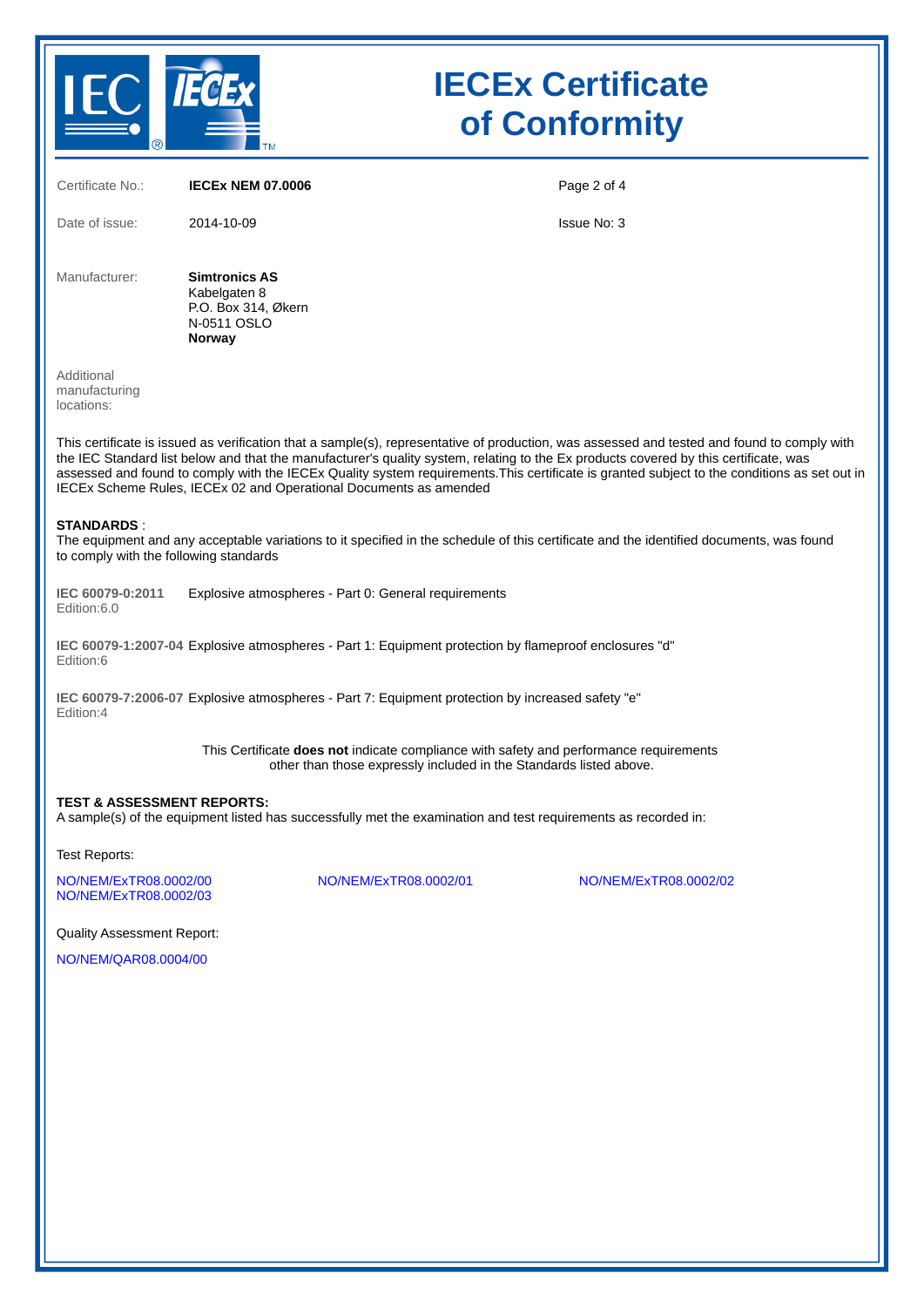

| Certificate No.:                                                                                                                                                                                                                                                                                                                                                                                                                                                                                         | <b>IECEX NEM 07.0006</b>                                                             | Page 2 of 4           |  |  |
|----------------------------------------------------------------------------------------------------------------------------------------------------------------------------------------------------------------------------------------------------------------------------------------------------------------------------------------------------------------------------------------------------------------------------------------------------------------------------------------------------------|--------------------------------------------------------------------------------------|-----------------------|--|--|
| Date of issue:                                                                                                                                                                                                                                                                                                                                                                                                                                                                                           | 2014-10-09                                                                           | <b>Issue No: 3</b>    |  |  |
| Manufacturer:                                                                                                                                                                                                                                                                                                                                                                                                                                                                                            | <b>Simtronics AS</b><br>Kabelgaten 8<br>P.O. Box 314, Økern<br>N-0511 OSLO<br>Norway |                       |  |  |
| Additional<br>manufacturing<br>locations:                                                                                                                                                                                                                                                                                                                                                                                                                                                                |                                                                                      |                       |  |  |
| This certificate is issued as verification that a sample(s), representative of production, was assessed and tested and found to comply with<br>the IEC Standard list below and that the manufacturer's quality system, relating to the Ex products covered by this certificate, was<br>assessed and found to comply with the IECEx Quality system requirements. This certificate is granted subject to the conditions as set out in<br>IECEx Scheme Rules, IECEx 02 and Operational Documents as amended |                                                                                      |                       |  |  |
| <b>STANDARDS:</b><br>The equipment and any acceptable variations to it specified in the schedule of this certificate and the identified documents, was found<br>to comply with the following standards                                                                                                                                                                                                                                                                                                   |                                                                                      |                       |  |  |
| IEC 60079-0:2011<br>Edition:6.0                                                                                                                                                                                                                                                                                                                                                                                                                                                                          | Explosive atmospheres - Part 0: General requirements                                 |                       |  |  |
| IEC 60079-1:2007-04 Explosive atmospheres - Part 1: Equipment protection by flameproof enclosures "d"<br>Edition:6                                                                                                                                                                                                                                                                                                                                                                                       |                                                                                      |                       |  |  |
| IEC 60079-7:2006-07 Explosive atmospheres - Part 7: Equipment protection by increased safety "e"<br>Edition:4                                                                                                                                                                                                                                                                                                                                                                                            |                                                                                      |                       |  |  |
| This Certificate <b>does not</b> indicate compliance with safety and performance requirements<br>other than those expressly included in the Standards listed above.                                                                                                                                                                                                                                                                                                                                      |                                                                                      |                       |  |  |
| <b>TEST &amp; ASSESSMENT REPORTS:</b><br>A sample(s) of the equipment listed has successfully met the examination and test requirements as recorded in:                                                                                                                                                                                                                                                                                                                                                  |                                                                                      |                       |  |  |
| Test Reports:                                                                                                                                                                                                                                                                                                                                                                                                                                                                                            |                                                                                      |                       |  |  |
| NO/NEM/ExTR08.0002/00<br>NO/NEM/ExTR08.0002/03                                                                                                                                                                                                                                                                                                                                                                                                                                                           | NO/NEM/ExTR08.0002/01                                                                | NO/NEM/ExTR08.0002/02 |  |  |
| <b>Quality Assessment Report:</b>                                                                                                                                                                                                                                                                                                                                                                                                                                                                        |                                                                                      |                       |  |  |
| NO/NEM/QAR08.0004/00                                                                                                                                                                                                                                                                                                                                                                                                                                                                                     |                                                                                      |                       |  |  |
|                                                                                                                                                                                                                                                                                                                                                                                                                                                                                                          |                                                                                      |                       |  |  |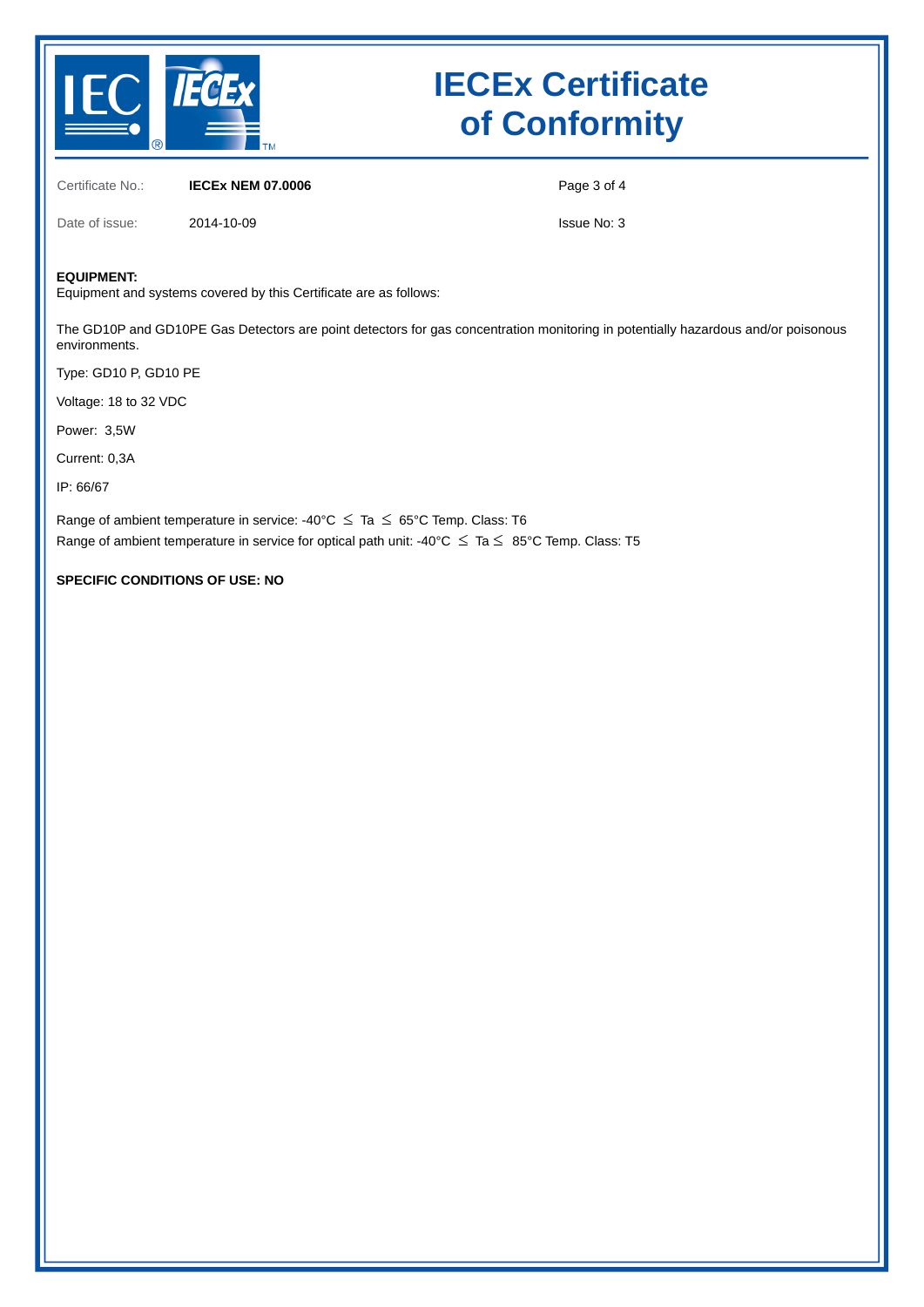

Certificate No.: **IECEx NEM 07.0006**

Page 3 of 4

Date of issue: 2014-10-09

Issue No: 3

### **EQUIPMENT:**

Equipment and systems covered by this Certificate are as follows:

The GD10P and GD10PE Gas Detectors are point detectors for gas concentration monitoring in potentially hazardous and/or poisonous environments.

Type: GD10 P, GD10 PE

Voltage: 18 to 32 VDC

Power: 3,5W

Current: 0,3A

IP: 66/67

Range of ambient temperature in service: -40°C  $\leq$  Ta  $\leq$  65°C Temp. Class: T6 Range of ambient temperature in service for optical path unit: -40°C  $\leq$  Ta  $\leq$  85°C Temp. Class: T5

**SPECIFIC CONDITIONS OF USE: NO**